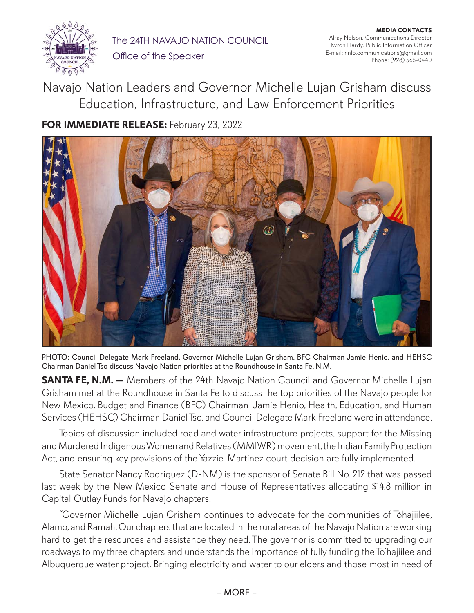

The 24TH NAVAJO NATION COUNCIL Office of the Speaker

**MEDIA CONTACTS** Alray Nelson, Communications Director Kyron Hardy, Public Information Officer E-mail: nnlb.communications@gmail.com Phone: (928) 565-0440

Navajo Nation Leaders and Governor Michelle Lujan Grisham discuss Education, Infrastructure, and Law Enforcement Priorities

**FOR IMMEDIATE RELEASE:** February 23, 2022



PHOTO: Council Delegate Mark Freeland, Governor Michelle Lujan Grisham, BFC Chairman Jamie Henio, and HEHSC Chairman Daniel Tso discuss Navajo Nation priorities at the Roundhouse in Santa Fe, N.M.

**SANTA FE, N.M.** - Members of the 24th Navajo Nation Council and Governor Michelle Lujan Grisham met at the Roundhouse in Santa Fe to discuss the top priorities of the Navajo people for New Mexico. Budget and Finance (BFC) Chairman Jamie Henio, Health, Education, and Human Services (HEHSC) Chairman Daniel Tso, and Council Delegate Mark Freeland were in attendance.

Topics of discussion included road and water infrastructure projects, support for the Missing and Murdered Indigenous Women and Relatives (MMIWR) movement, the Indian Family Protection Act, and ensuring key provisions of the Yazzie-Martinez court decision are fully implemented.

State Senator Nancy Rodriguez (D-NM) is the sponsor of Senate Bill No. 212 that was passed last week by the New Mexico Senate and House of Representatives allocating \$14.8 million in Capital Outlay Funds for Navajo chapters.

"Governor Michelle Lujan Grisham continues to advocate for the communities of Tóhajiilee, Alamo, and Ramah. Our chapters that are located in the rural areas of the Navajo Nation are working hard to get the resources and assistance they need. The governor is committed to upgrading our roadways to my three chapters and understands the importance of fully funding the To'hajiilee and Albuquerque water project. Bringing electricity and water to our elders and those most in need of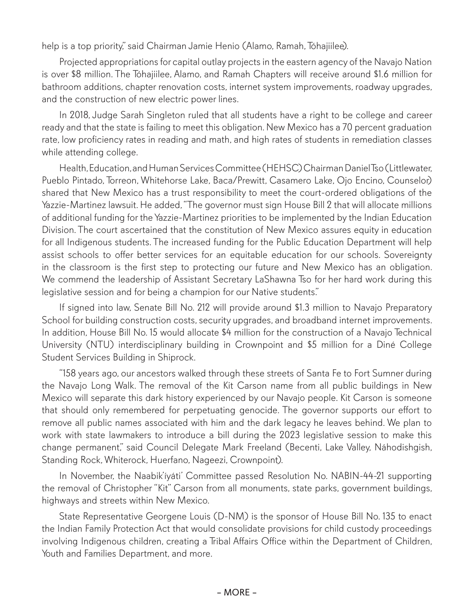help is a top priority," said Chairman Jamie Henio (Alamo, Ramah, Tóhajiilee).

Projected appropriations for capital outlay projects in the eastern agency of the Navajo Nation is over \$8 million. The Tóhajiilee, Alamo, and Ramah Chapters will receive around \$1.6 million for bathroom additions, chapter renovation costs, internet system improvements, roadway upgrades, and the construction of new electric power lines.

In 2018, Judge Sarah Singleton ruled that all students have a right to be college and career ready and that the state is failing to meet this obligation. New Mexico has a 70 percent graduation rate, low proficiency rates in reading and math, and high rates of students in remediation classes while attending college.

Health, Education, and Human Services Committee (HEHSC) Chairman Daniel Tso (Littlewater, Pueblo Pintado, Torreon, Whitehorse Lake, Baca/Prewitt, Casamero Lake, Ojo Encino, Counselor) shared that New Mexico has a trust responsibility to meet the court-ordered obligations of the Yazzie-Martinez lawsuit. He added, "The governor must sign House Bill 2 that will allocate millions of additional funding for the Yazzie-Martinez priorities to be implemented by the Indian Education Division. The court ascertained that the constitution of New Mexico assures equity in education for all Indigenous students. The increased funding for the Public Education Department will help assist schools to offer better services for an equitable education for our schools. Sovereignty in the classroom is the first step to protecting our future and New Mexico has an obligation. We commend the leadership of Assistant Secretary LaShawna Tso for her hard work during this legislative session and for being a champion for our Native students."

If signed into law, Senate Bill No. 212 will provide around \$1.3 million to Navajo Preparatory School for building construction costs, security upgrades, and broadband internet improvements. In addition, House Bill No. 15 would allocate \$4 million for the construction of a Navajo Technical University (NTU) interdisciplinary building in Crownpoint and \$5 million for a Diné College Student Services Building in Shiprock.

"158 years ago, our ancestors walked through these streets of Santa Fe to Fort Sumner during the Navajo Long Walk. The removal of the Kit Carson name from all public buildings in New Mexico will separate this dark history experienced by our Navajo people. Kit Carson is someone that should only remembered for perpetuating genocide. The governor supports our effort to remove all public names associated with him and the dark legacy he leaves behind. We plan to work with state lawmakers to introduce a bill during the 2023 legislative session to make this change permanent," said Council Delegate Mark Freeland (Becenti, Lake Valley, Náhodishgish, Standing Rock, Whiterock, Huerfano, Nageezi, Crownpoint).

In November, the Naabik'íyáti' Committee passed Resolution No. NABIN-44-21 supporting the removal of Christopher "Kit" Carson from all monuments, state parks, government buildings, highways and streets within New Mexico.

State Representative Georgene Louis (D-NM) is the sponsor of House Bill No. 135 to enact the Indian Family Protection Act that would consolidate provisions for child custody proceedings involving Indigenous children, creating a Tribal Affairs Office within the Department of Children, Youth and Families Department, and more.